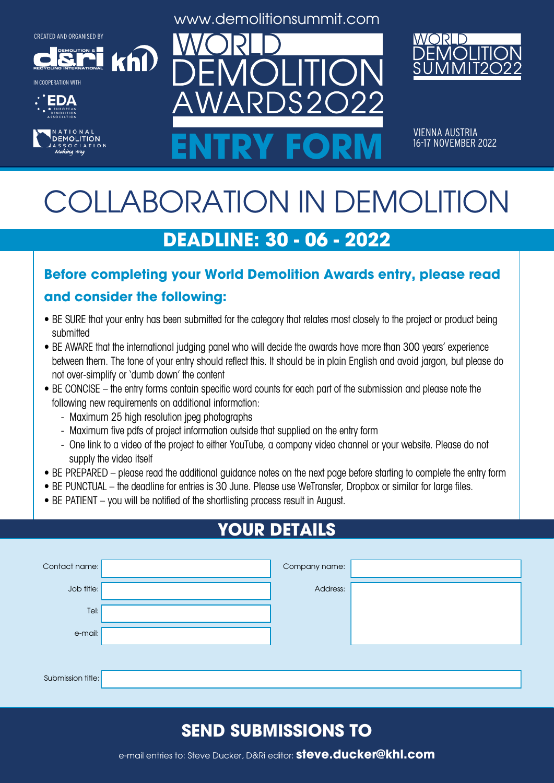**DEMOLITION &**

**RECYCLING INTERNATIONAL**







www.demolitionsummit.com



VIENNA AUSTRIA<br>16-17 NOVEMBER 2022 ENTRY FORM **16-17 NOVEMBER 2022** 

# COLLABORATION IN DEMOLITION

# **DEADLINE: 30 - 06 - 2022**

### **Before completing your World Demolition Awards entry, please read**

#### **and consider the following:**

khl

- BE SURE that your entry has been submitted for the category that relates most closely to the project or product being submitted
- BE AWARE that the international judging panel who will decide the awards have more than 300 years' experience between them. The tone of your entry should reflect this. It should be in plain English and avoid jargon, but please do not over-simplify or 'dumb down' the content
- BE CONCISE the entry forms contain specific word counts for each part of the submission and please note the following new requirements on additional information:
	- Maximum 25 high resolution jpeg photographs
	- Maximum five pdfs of project information outside that supplied on the entry form
	- One link to a video of the project to either YouTube, a company video channel or your website. Please do not supply the video itself
- BE PREPARED please read the additional guidance notes on the next page before starting to complete the entry form
- BE PUNCTUAL the deadline for entries is 30 June. Please use WeTransfer, Dropbox or similar for large files.
- BE PATIENT you will be notified of the shortlisting process result in August.

# **YOUR DETAILS**

| Contact name:     | Company name: |  |
|-------------------|---------------|--|
| Job title:        | Address:      |  |
| Tel:              |               |  |
| e-mail:           |               |  |
|                   |               |  |
| Submission title: |               |  |

### **SEND SUBMISSIONS TO**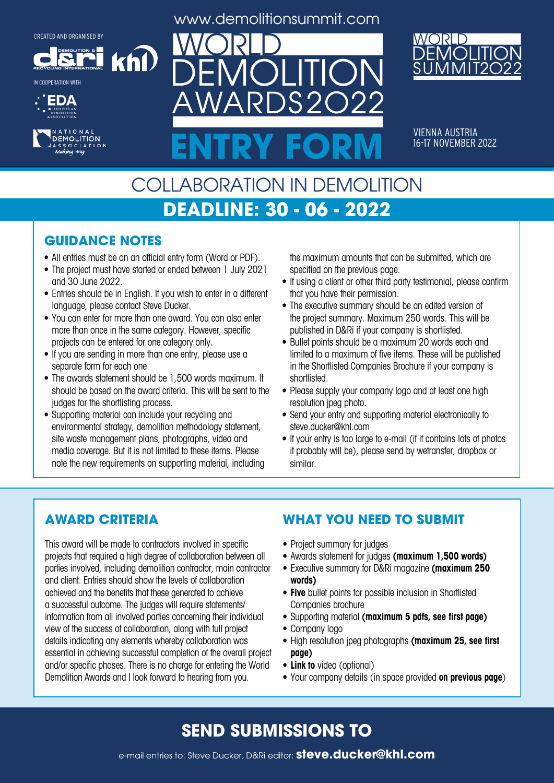**DEMOLITION &**

khl

**RECYCLING INTERNATIONAL** IN COOPERATION WITH





www.demolitionsummit.com

 $S2$ 



VIENNA AUSTRIA<br>16-17 NOVEMBER 2022 ENTRY FORM **16-17 NOVEMBER 2022** 

# COLLABORATION IN DEMOLITION **DEADLINE: 30 - 06 - 2022**

#### **GUIDANCE NOTES**

- All entries must be on an official entry form (Word or PDF).
- The project must have started or ended between 1 July 2021 and 30 June 2022.
- Entries should be in English. If you wish to enter in a different language, please contact Steve Ducker.
- You can enter for more than one award. You can also enter more than once in the same category. However, specific projects can be entered for one category only.
- If you are sending in more than one entry, please use a separate form for each one.
- The awards statement should be 1,500 words maximum. It should be based on the award criteria. This will be sent to the judges for the shortlisting process.
- Supporting material can include your recycling and environmental strategy, demolition methodology statement, site waste management plans, photographs, video and media coverage. But it is not limited to these items. Please note the new requirements on supporting material, including

the maximum amounts that can be submitted, which are specified on the previous page.

- If using a client or other third party testimonial, please confirm that you have their permission.
- The executive summary should be an edited version of the project summary. Maximum 250 words. This will be published in D&Ri if your company is shortlisted.
- Bullet points should be a maximum 20 words each and limited to a maximum of five items. These will be published in the Shortlisted Companies Brochure if your company is shortlisted.
- Please supply your company logo and at least one high resolution jpeg photo.
- Send your entry and supporting material electronically to steve.ducker@khl.com
- If your entry is too large to e-mail (if it contains lots of photos it probably will be), please send by wetransfer, dropbox or similar.

#### **AWARD CRITERIA**

This award will be made to contractors involved in specific projects that required a high degree of collaboration between all parties involved, including demolition contractor, main contractor and client. Entries should show the levels of collaboration achieved and the benefits that these generated to achieve a successful outcome. The judges will require statements/ information from all involved parties concerning their individual view of the success of collaboration, along with full project details indicating any elements whereby collaboration was essential in achieving successful completion of the overall project and/or specific phases. There is no charge for entering the World Demolition Awards and I look forward to hearing from you.

#### **WHAT YOU NEED TO SUBMIT**

- Project summary for judges
- • Awards statement for judges **(maximum 1,500 words)**
- • Executive summary for D&Ri magazine **(maximum 250 words)**
- **• Five** bullet points for possible inclusion in Shortlisted Companies brochure
- • Supporting material **(maximum 5 pdfs, see first page)**
- Company logo
- • High resolution jpeg photographs **(maximum 25, see first page)**
- **• Link to** video (optional)
- • Your company details (in space provided **on previous page**)

### **SEND SUBMISSIONS TO**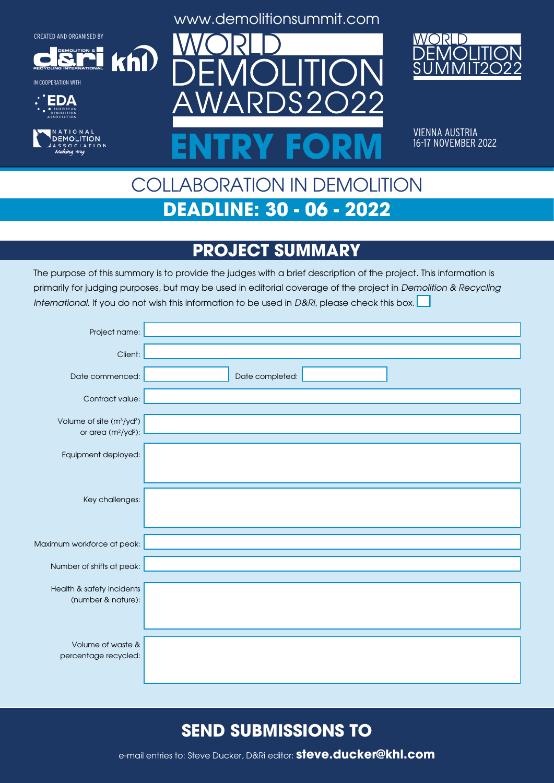**DEMOLITION &**

 $k$ h $\Omega$ 

**RECYCLING INTERNATIONAL**







www.demolitionsummit.com



VIENNA AUSTRIA<br>16-17 NOVEMBER 2022 ENTRY FORM **16-17 NOVEMBER 2022** 

# COLLABORATION IN DEMOLITION **DEADLINE: 30 - 06 - 2022**

### **PROJECT SUMMARY**

The purpose of this summary is to provide the judges with a brief description of the project. This information is primarily for judging purposes, but may be used in editorial coverage of the project in Demolition & Recycling International. If you do not wish this information to be used in D&Ri, please check this box.

| Project name:                                                               |                 |
|-----------------------------------------------------------------------------|-----------------|
| Client:                                                                     |                 |
| Date commenced:                                                             | Date completed: |
| Contract value:                                                             |                 |
| Volume of site (m <sup>3</sup> /yd <sup>3</sup> )<br>or area $(m^2/yd^2)$ : |                 |
| Equipment deployed:                                                         |                 |
|                                                                             |                 |
| Key challenges:                                                             |                 |
|                                                                             |                 |
| Maximum workforce at peak:                                                  |                 |
| Number of shifts at peak:                                                   |                 |
| Health & safety incidents                                                   |                 |
| (number & nature):                                                          |                 |
|                                                                             |                 |
| Volume of waste &<br>percentage recycled:                                   |                 |
|                                                                             |                 |

### **SEND SUBMISSIONS TO**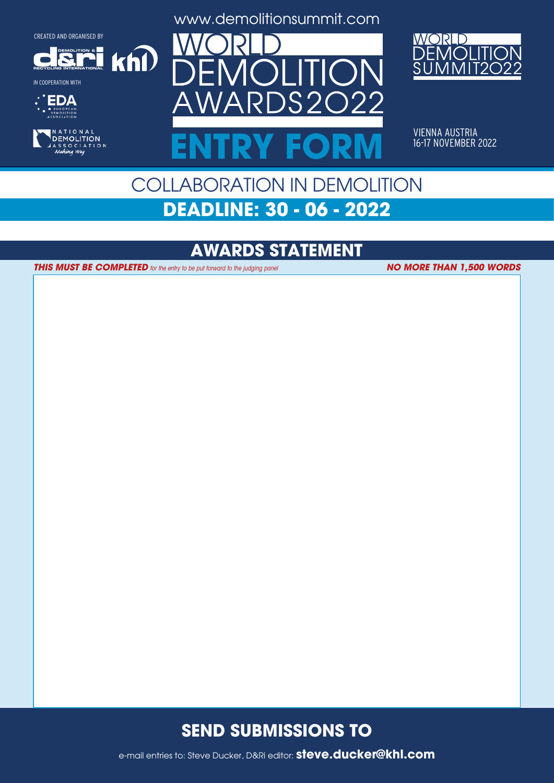**DEMOLITION &**

 $k$ h $\Omega$ 

**RECYCLING INTERNATIONAL**







www.demolitionsummit.com



VIENNA AUSTRIA<br>16-17 NOVEMBER 2022 ENTRY FORM **16-17 NOVEMBER 2022** 

# COLLABORATION IN DEMOLITION **DEADLINE: 30 - 06 - 2022**

### **AWARDS STATEMENT**

**THIS MUST BE COMPLETED** for the entry to be put forward to the judging panel

**NO MORE THAN 1,500 WORDS**

### **SEND SUBMISSIONS TO**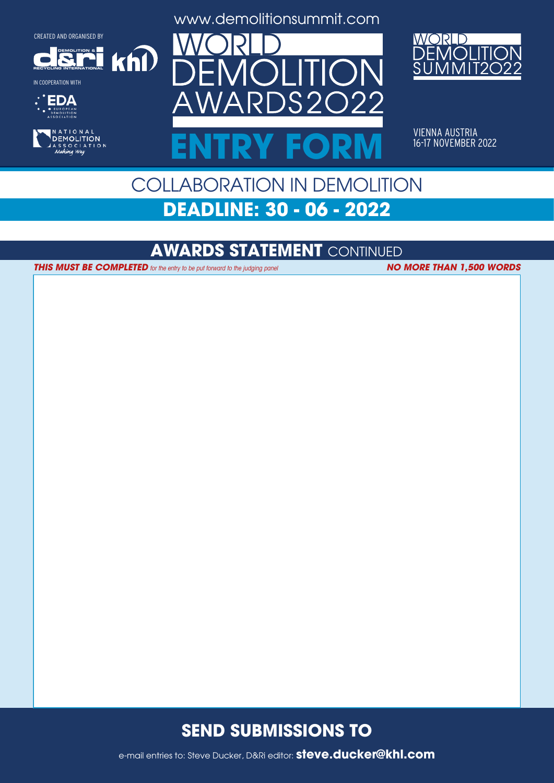**DEMOLITION &**

 $k$ h $\Omega$ 

**RECYCLING INTERNATIONAL**

IN COOPERATION WITH





www.demolitionsummit.com



VIENNA AUSTRIA<br>16-17 NOVEMBER 2022 ENTRY FORM **16-17 NOVEMBER 2022** 

# COLLABORATION IN DEMOLITION **DEADLINE: 30 - 06 - 2022**

#### **AWARDS STATEMENT** CONTINUED

**THIS MUST BE COMPLETED** for the entry to be put forward to the judging panel **NO MORE THAN 1,500 WORDS** 

#### **SEND SUBMISSIONS TO**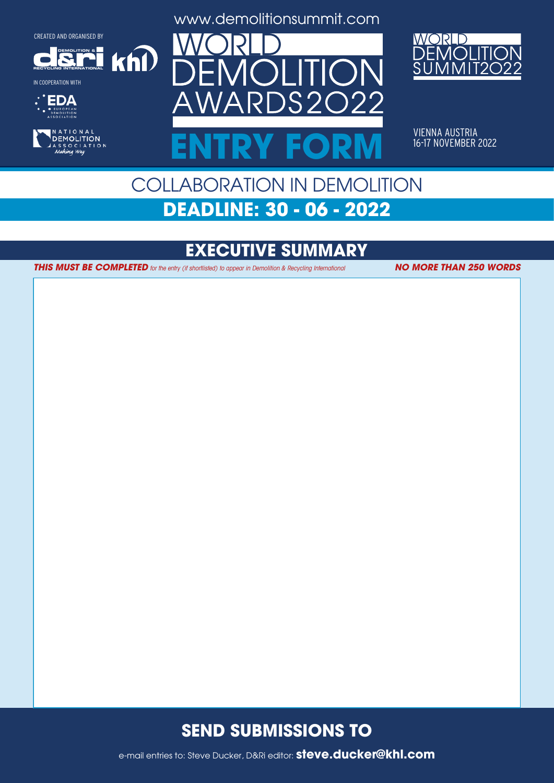**DEMOLITION &**

 $k$ n $\Omega$ 

**RECYCLING INTERNATIONAL**







www.demolitionsummit.com



VIENNA AUSTRIA<br>16-17 NOVEMBER 2022 ENTRY FORM **16-17 NOVEMBER 2022** 

# COLLABORATION IN DEMOLITION **DEADLINE: 30 - 06 - 2022**

### **EXECUTIVE SUMMARY**

**THIS MUST BE COMPLETED** for the entry (if shortlisted) to appear in Demolition & Recycling International **NO MORE THAN 250 WORDS** 

### **SEND SUBMISSIONS TO**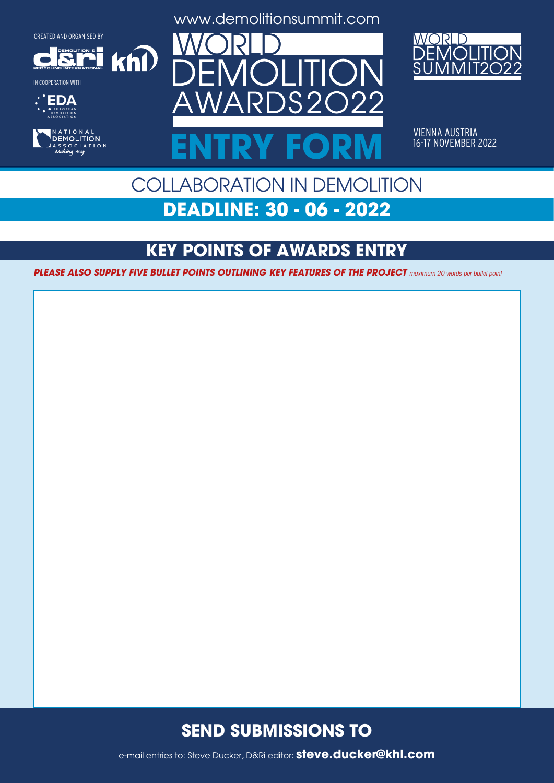**DEMOLITION &**

 $k$ h $\Omega$ 

**RECYCLING INTERNATIONAL**

IN COOPERATION WITH





www.demolitionsummit.com



VIENNA AUSTRIA<br>16-17 NOVEMBER 2022 ENTRY FORM **16-17 NOVEMBER 2022** 

# COLLABORATION IN DEMOLITION **DEADLINE: 30 - 06 - 2022**

## **KEY POINTS OF AWARDS ENTRY**

**PLEASE ALSO SUPPLY FIVE BULLET POINTS OUTLINING KEY FEATURES OF THE PROJECT** maximum 20 words per bullet point

### **SEND SUBMISSIONS TO**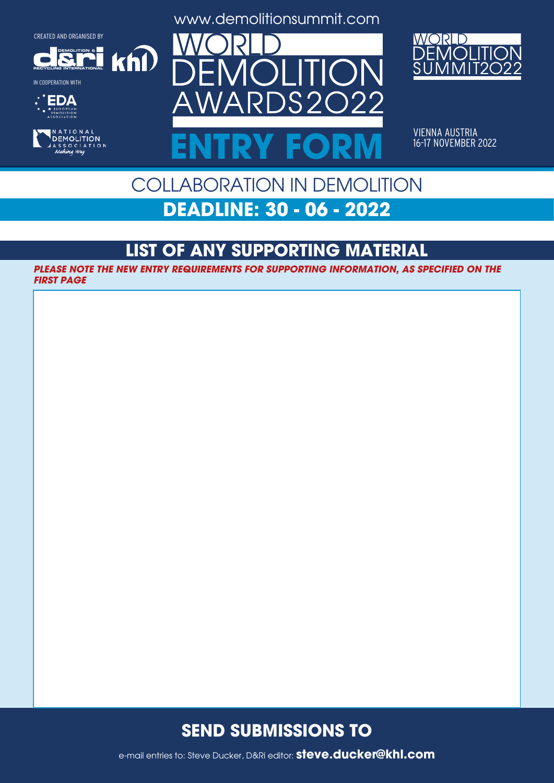**DEMOLITION &**

 $k$ h $\Omega$ 



IN COOPERATION WITH





www.demolitionsummit.com



VIENNA AUSTRIA<br>16-17 NOVEMBER 2022 ENTRY FORM **16-17 NOVEMBER 2022** 

# COLLABORATION IN DEMOLITION **DEADLINE: 30 - 06 - 2022**

## **LIST OF ANY SUPPORTING MATERIAL**

**PLEASE NOTE THE NEW ENTRY REQUIREMENTS FOR SUPPORTING INFORMATION, AS SPECIFIED ON THE FIRST PAGE**

### **SEND SUBMISSIONS TO**